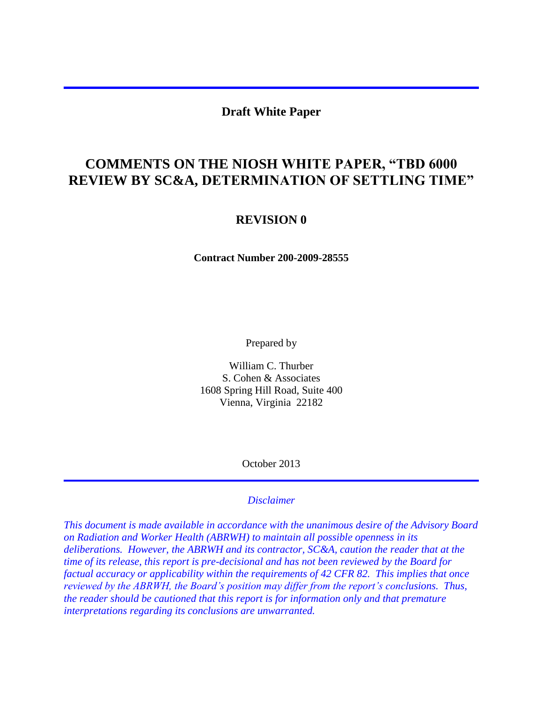#### **Draft White Paper**

# **COMMENTS ON THE NIOSH WHITE PAPER, "TBD 6000 REVIEW BY SC&A, DETERMINATION OF SETTLING TIME"**

#### **REVISION 0**

**Contract Number 200-2009-28555**

Prepared by

William C. Thurber S. Cohen & Associates 1608 Spring Hill Road, Suite 400 Vienna, Virginia 22182

October 2013

#### *Disclaimer*

*This document is made available in accordance with the unanimous desire of the Advisory Board on Radiation and Worker Health (ABRWH) to maintain all possible openness in its deliberations. However, the ABRWH and its contractor, SC&A, caution the reader that at the time of its release, this report is pre-decisional and has not been reviewed by the Board for factual accuracy or applicability within the requirements of 42 CFR 82. This implies that once reviewed by the ABRWH, the Board's position may differ from the report's conclusions. Thus, the reader should be cautioned that this report is for information only and that premature interpretations regarding its conclusions are unwarranted.*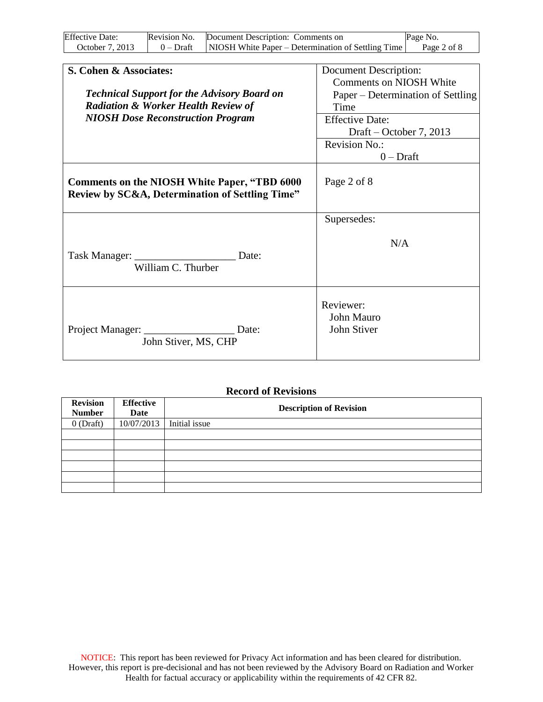| <b>Effective Date:</b> | Revision No. | Document Description: Comments on                  | Page No.    |
|------------------------|--------------|----------------------------------------------------|-------------|
| October 7, 2013        | 0 – Draft    | NIOSH White Paper – Determination of Settling Time | Page 2 of 8 |

| S. Cohen & Associates:                                                                                 | Document Description:                  |
|--------------------------------------------------------------------------------------------------------|----------------------------------------|
|                                                                                                        | <b>Comments on NIOSH White</b>         |
| <b>Technical Support for the Advisory Board on</b>                                                     | Paper – Determination of Settling      |
| <b>Radiation &amp; Worker Health Review of</b>                                                         | Time                                   |
| <b>NIOSH Dose Reconstruction Program</b>                                                               | <b>Effective Date:</b>                 |
|                                                                                                        | Draft – October 7, 2013                |
|                                                                                                        | <b>Revision No.:</b>                   |
|                                                                                                        | $0$ – Draft                            |
| <b>Comments on the NIOSH White Paper, "TBD 6000</b><br>Review by SC&A, Determination of Settling Time" | Page 2 of 8                            |
|                                                                                                        | Supersedes:                            |
| Date:<br>William C. Thurber                                                                            | N/A                                    |
| Date:<br>John Stiver, MS, CHP                                                                          | Reviewer:<br>John Mauro<br>John Stiver |

#### **Record of Revisions**

| <b>Revision</b> | <b>Effective</b> | <b>Description of Revision</b> |  |  |
|-----------------|------------------|--------------------------------|--|--|
| <b>Number</b>   | Date             |                                |  |  |
| $0$ (Draft)     | 10/07/2013       | Initial issue                  |  |  |
|                 |                  |                                |  |  |
|                 |                  |                                |  |  |
|                 |                  |                                |  |  |
|                 |                  |                                |  |  |
|                 |                  |                                |  |  |
|                 |                  |                                |  |  |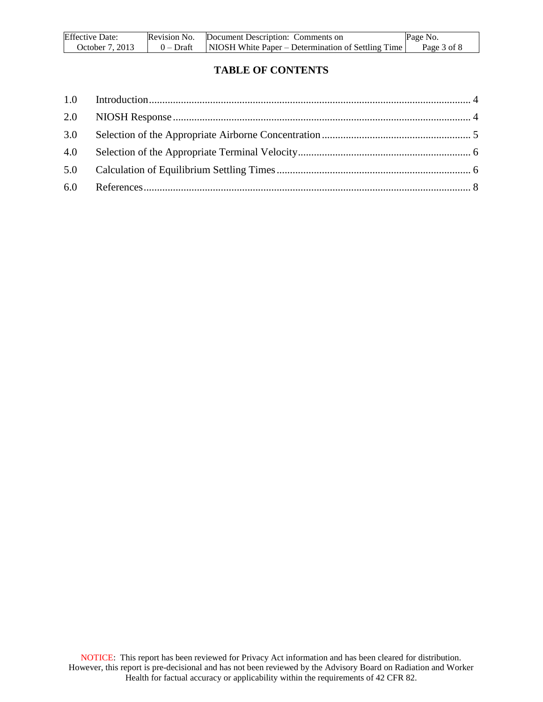| <b>Effective Date:</b> | Revision No. | Document Description: Comments on                  | Page No.    |
|------------------------|--------------|----------------------------------------------------|-------------|
| October 7, 2013        | 0 – Draft    | NIOSH White Paper – Determination of Settling Time | Page 3 of 8 |

### **TABLE OF CONTENTS**

| 3.0 |  |
|-----|--|
|     |  |
| 5.0 |  |
|     |  |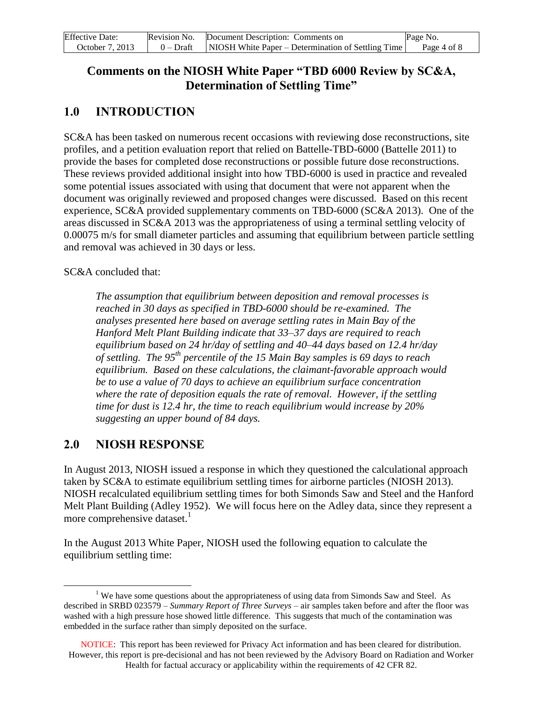| <b>Effective Date:</b> | Revision No. Document Description: Comments on                   | Page No.    |
|------------------------|------------------------------------------------------------------|-------------|
| October 7, 2013        | $0$ – Draft   NIOSH White Paper – Determination of Settling Time | Page 4 of 8 |

## **Comments on the NIOSH White Paper "TBD 6000 Review by SC&A, Determination of Settling Time"**

### <span id="page-3-0"></span>**1.0 INTRODUCTION**

SC&A has been tasked on numerous recent occasions with reviewing dose reconstructions, site profiles, and a petition evaluation report that relied on Battelle-TBD-6000 (Battelle 2011) to provide the bases for completed dose reconstructions or possible future dose reconstructions. These reviews provided additional insight into how TBD-6000 is used in practice and revealed some potential issues associated with using that document that were not apparent when the document was originally reviewed and proposed changes were discussed. Based on this recent experience, SC&A provided supplementary comments on TBD-6000 (SC&A 2013). One of the areas discussed in SC&A 2013 was the appropriateness of using a terminal settling velocity of 0.00075 m/s for small diameter particles and assuming that equilibrium between particle settling and removal was achieved in 30 days or less.

SC&A concluded that:

*The assumption that equilibrium between deposition and removal processes is reached in 30 days as specified in TBD-6000 should be re-examined. The analyses presented here based on average settling rates in Main Bay of the Hanford Melt Plant Building indicate that 33–37 days are required to reach equilibrium based on 24 hr/day of settling and 40–44 days based on 12.4 hr/day of settling. The 95th percentile of the 15 Main Bay samples is 69 days to reach equilibrium. Based on these calculations, the claimant-favorable approach would be to use a value of 70 days to achieve an equilibrium surface concentration where the rate of deposition equals the rate of removal. However, if the settling time for dust is 12.4 hr, the time to reach equilibrium would increase by 20% suggesting an upper bound of 84 days.* 

### <span id="page-3-1"></span>**2.0 NIOSH RESPONSE**

 $\overline{a}$ 

In August 2013, NIOSH issued a response in which they questioned the calculational approach taken by SC&A to estimate equilibrium settling times for airborne particles (NIOSH 2013). NIOSH recalculated equilibrium settling times for both Simonds Saw and Steel and the Hanford Melt Plant Building (Adley 1952). We will focus here on the Adley data, since they represent a more comprehensive dataset.<sup>1</sup>

In the August 2013 White Paper, NIOSH used the following equation to calculate the equilibrium settling time:

<sup>&</sup>lt;sup>1</sup> We have some questions about the appropriateness of using data from Simonds Saw and Steel. As described in SRBD 023579 – *Summary Report of Three Surveys* – air samples taken before and after the floor was washed with a high pressure hose showed little difference. This suggests that much of the contamination was embedded in the surface rather than simply deposited on the surface.

NOTICE: This report has been reviewed for Privacy Act information and has been cleared for distribution. However, this report is pre-decisional and has not been reviewed by the Advisory Board on Radiation and Worker Health for factual accuracy or applicability within the requirements of 42 CFR 82.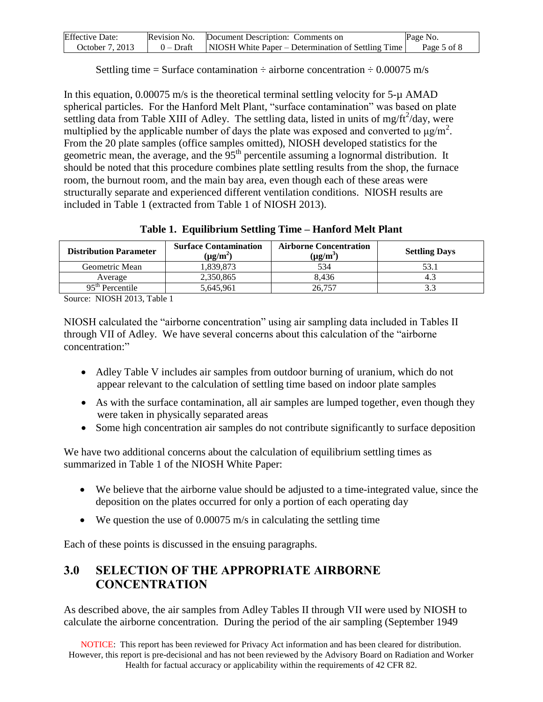| <b>Effective Date:</b> | Revision No. | Document Description: Comments on                  | Page No.    |
|------------------------|--------------|----------------------------------------------------|-------------|
| October 7, 2013        | 0 – Draft    | NIOSH White Paper – Determination of Settling Time | Page 5 of 8 |

Settling time = Surface contamination  $\div$  airborne concentration  $\div$  0.00075 m/s

In this equation,  $0.00075$  m/s is the theoretical terminal settling velocity for  $5-\mu$  AMAD spherical particles. For the Hanford Melt Plant, "surface contamination" was based on plate settling data from Table XIII of Adley. The settling data, listed in units of mg/ft $^{2}$ /day, were multiplied by the applicable number of days the plate was exposed and converted to  $\mu$ g/m<sup>2</sup>. From the 20 plate samples (office samples omitted), NIOSH developed statistics for the geometric mean, the average, and the  $95<sup>th</sup>$  percentile assuming a lognormal distribution. It should be noted that this procedure combines plate settling results from the shop, the furnace room, the burnout room, and the main bay area, even though each of these areas were structurally separate and experienced different ventilation conditions. NIOSH results are included in Table 1 (extracted from Table 1 of NIOSH 2013).

|  |  |  | Table 1. Equilibrium Settling Time - Hanford Melt Plant |  |  |  |
|--|--|--|---------------------------------------------------------|--|--|--|
|  |  |  |                                                         |  |  |  |

| <b>Distribution Parameter</b> | <b>Surface Contamination</b><br>$(\mu g/m^2)$ | <b>Airborne Concentration</b><br>$\mu$ g/m <sup>3</sup> | <b>Settling Days</b> |  |  |  |
|-------------------------------|-----------------------------------------------|---------------------------------------------------------|----------------------|--|--|--|
| Geometric Mean                | 1,839,873                                     | 534                                                     |                      |  |  |  |
| Average                       | 2,350,865                                     | 8.436                                                   | 4.:                  |  |  |  |
| $95th$ Percentile             | 5.645.961                                     | 26.757                                                  |                      |  |  |  |
| $\alpha$ MIQCIT 2012 TO 11 1  |                                               |                                                         |                      |  |  |  |

Source: NIOSH 2013, Table 1

NIOSH calculated the "airborne concentration" using air sampling data included in Tables II through VII of Adley. We have several concerns about this calculation of the "airborne concentration:"

- Adley Table V includes air samples from outdoor burning of uranium, which do not appear relevant to the calculation of settling time based on indoor plate samples
- As with the surface contamination, all air samples are lumped together, even though they were taken in physically separated areas
- Some high concentration air samples do not contribute significantly to surface deposition

We have two additional concerns about the calculation of equilibrium settling times as summarized in Table 1 of the NIOSH White Paper:

- We believe that the airborne value should be adjusted to a time-integrated value, since the deposition on the plates occurred for only a portion of each operating day
- $\bullet$  We question the use of 0.00075 m/s in calculating the settling time

Each of these points is discussed in the ensuing paragraphs.

### <span id="page-4-0"></span>**3.0 SELECTION OF THE APPROPRIATE AIRBORNE CONCENTRATION**

As described above, the air samples from Adley Tables II through VII were used by NIOSH to calculate the airborne concentration. During the period of the air sampling (September 1949

NOTICE: This report has been reviewed for Privacy Act information and has been cleared for distribution. However, this report is pre-decisional and has not been reviewed by the Advisory Board on Radiation and Worker Health for factual accuracy or applicability within the requirements of 42 CFR 82.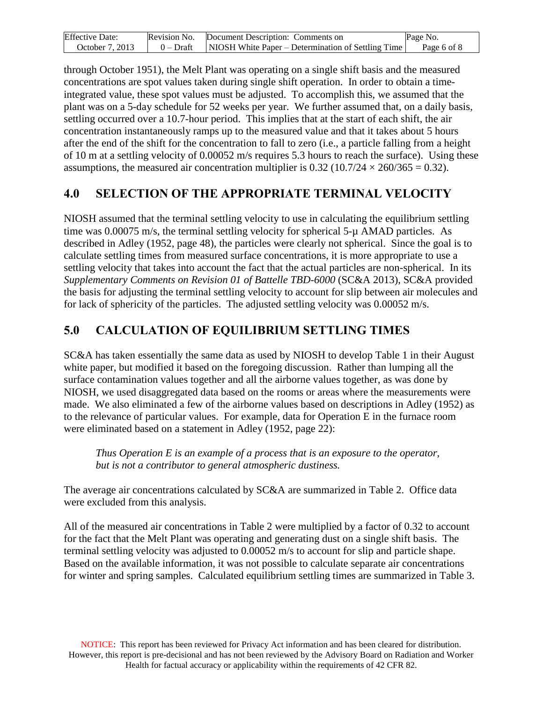| <b>Effective Date:</b> | Revision No. | Document Description: Comments on                  | Page No.    |
|------------------------|--------------|----------------------------------------------------|-------------|
| October 7, 2013        | 0 – Draft    | NIOSH White Paper – Determination of Settling Time | Page 6 of 8 |

through October 1951), the Melt Plant was operating on a single shift basis and the measured concentrations are spot values taken during single shift operation. In order to obtain a timeintegrated value, these spot values must be adjusted. To accomplish this, we assumed that the plant was on a 5-day schedule for 52 weeks per year. We further assumed that, on a daily basis, settling occurred over a 10.7-hour period. This implies that at the start of each shift, the air concentration instantaneously ramps up to the measured value and that it takes about 5 hours after the end of the shift for the concentration to fall to zero (i.e., a particle falling from a height of 10 m at a settling velocity of 0.00052 m/s requires 5.3 hours to reach the surface). Using these assumptions, the measured air concentration multiplier is  $0.32$  (10.7/24  $\times$  260/365 = 0.32).

### <span id="page-5-0"></span>**4.0 SELECTION OF THE APPROPRIATE TERMINAL VELOCITY**

NIOSH assumed that the terminal settling velocity to use in calculating the equilibrium settling time was 0.00075 m/s, the terminal settling velocity for spherical 5-µ AMAD particles. As described in Adley (1952, page 48), the particles were clearly not spherical. Since the goal is to calculate settling times from measured surface concentrations, it is more appropriate to use a settling velocity that takes into account the fact that the actual particles are non-spherical. In its *Supplementary Comments on Revision 01 of Battelle TBD-6000* (SC&A 2013), SC&A provided the basis for adjusting the terminal settling velocity to account for slip between air molecules and for lack of sphericity of the particles. The adjusted settling velocity was 0.00052 m/s.

# <span id="page-5-1"></span>**5.0 CALCULATION OF EQUILIBRIUM SETTLING TIMES**

SC&A has taken essentially the same data as used by NIOSH to develop Table 1 in their August white paper, but modified it based on the foregoing discussion. Rather than lumping all the surface contamination values together and all the airborne values together, as was done by NIOSH, we used disaggregated data based on the rooms or areas where the measurements were made. We also eliminated a few of the airborne values based on descriptions in Adley (1952) as to the relevance of particular values. For example, data for Operation E in the furnace room were eliminated based on a statement in Adley (1952, page 22):

*Thus Operation E is an example of a process that is an exposure to the operator, but is not a contributor to general atmospheric dustiness.* 

The average air concentrations calculated by SC&A are summarized in Table 2. Office data were excluded from this analysis.

All of the measured air concentrations in Table 2 were multiplied by a factor of 0.32 to account for the fact that the Melt Plant was operating and generating dust on a single shift basis. The terminal settling velocity was adjusted to 0.00052 m/s to account for slip and particle shape. Based on the available information, it was not possible to calculate separate air concentrations for winter and spring samples. Calculated equilibrium settling times are summarized in Table 3.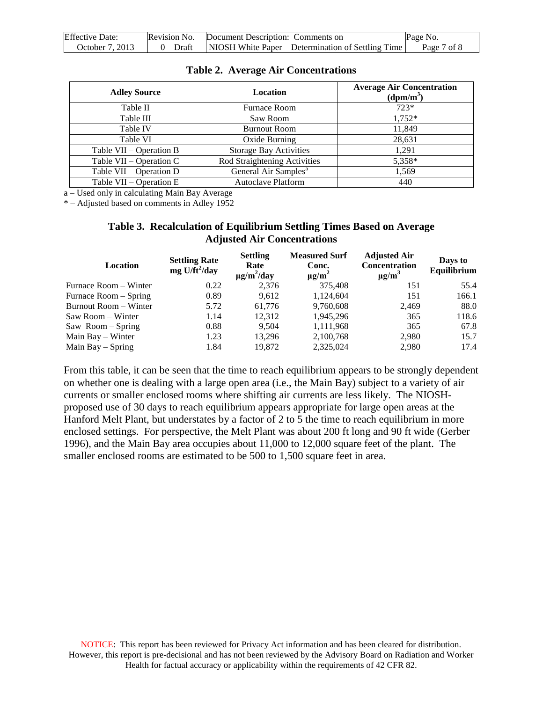| <b>Effective Date:</b> | Revision No. | Document Description: Comments on                  | Page No.    |
|------------------------|--------------|----------------------------------------------------|-------------|
| October 7, 2013        | 0 – Draft    | NIOSH White Paper – Determination of Settling Time | Page 7 of 8 |

|  |  | <b>Table 2. Average Air Concentrations</b> |
|--|--|--------------------------------------------|
|--|--|--------------------------------------------|

| <b>Adley Source</b>       | Location                         | <b>Average Air Concentration</b><br>(dpm/m <sup>3</sup> ) |  |
|---------------------------|----------------------------------|-----------------------------------------------------------|--|
| Table II                  | <b>Furnace Room</b>              | $723*$                                                    |  |
| Table III                 | Saw Room                         | 1,752*                                                    |  |
| Table IV                  | <b>Burnout Room</b>              | 11,849                                                    |  |
| Table VI                  | Oxide Burning                    | 28,631                                                    |  |
| Table VII – Operation B   | <b>Storage Bay Activities</b>    | 1,291                                                     |  |
| Table $VII - Operation C$ | Rod Straightening Activities     | 5,358*                                                    |  |
| Table VII – Operation D   | General Air Samples <sup>a</sup> | 1,569                                                     |  |
| Table VII – Operation E   | <b>Autoclave Platform</b>        | 440                                                       |  |

a – Used only in calculating Main Bay Average

\* – Adjusted based on comments in Adley 1952

#### **Table 3. Recalculation of Equilibrium Settling Times Based on Average Adjusted Air Concentrations**

| Location              | <b>Settling Rate</b><br>$mg$ U/ft <sup>2</sup> /day | <b>Settling</b><br>Rate<br>$\mu$ g/m <sup>2</sup> /day | <b>Measured Surf</b><br>Conc.<br>$\mu$ g/m <sup>2</sup> | <b>Adjusted Air</b><br><b>Concentration</b><br>$\mu$ g/m <sup>3</sup> | Days to<br>Equilibrium |
|-----------------------|-----------------------------------------------------|--------------------------------------------------------|---------------------------------------------------------|-----------------------------------------------------------------------|------------------------|
| Furnace Room - Winter | 0.22                                                | 2,376                                                  | 375.408                                                 | 151                                                                   | 55.4                   |
| Furnace Room – Spring | 0.89                                                | 9.612                                                  | 1,124,604                                               | 151                                                                   | 166.1                  |
| Burnout Room - Winter | 5.72                                                | 61.776                                                 | 9,760,608                                               | 2,469                                                                 | 88.0                   |
| Saw Room – Winter     | 1.14                                                | 12,312                                                 | 1,945,296                                               | 365                                                                   | 118.6                  |
| Saw Room – Spring     | 0.88                                                | 9.504                                                  | 1,111,968                                               | 365                                                                   | 67.8                   |
| Main Bay – Winter     | 1.23                                                | 13,296                                                 | 2,100,768                                               | 2,980                                                                 | 15.7                   |
| Main Bay $-$ Spring   | 1.84                                                | 19.872                                                 | 2,325,024                                               | 2,980                                                                 | 17.4                   |

From this table, it can be seen that the time to reach equilibrium appears to be strongly dependent on whether one is dealing with a large open area (i.e., the Main Bay) subject to a variety of air currents or smaller enclosed rooms where shifting air currents are less likely. The NIOSHproposed use of 30 days to reach equilibrium appears appropriate for large open areas at the Hanford Melt Plant, but understates by a factor of 2 to 5 the time to reach equilibrium in more enclosed settings. For perspective, the Melt Plant was about 200 ft long and 90 ft wide (Gerber 1996), and the Main Bay area occupies about 11,000 to 12,000 square feet of the plant. The smaller enclosed rooms are estimated to be 500 to 1,500 square feet in area.